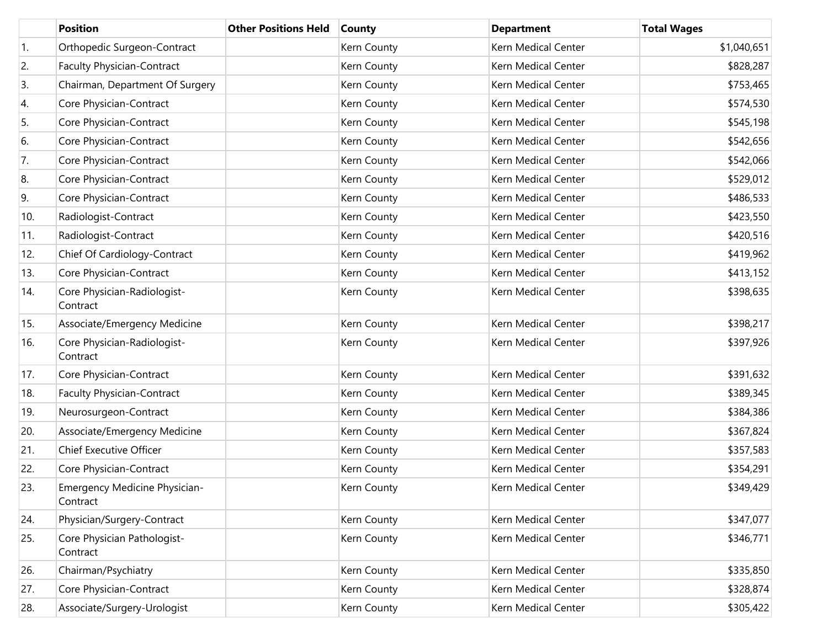|     | <b>Position</b>                                  | <b>Other Positions Held</b> | <b>County</b> | <b>Department</b>   | <b>Total Wages</b> |
|-----|--------------------------------------------------|-----------------------------|---------------|---------------------|--------------------|
| 1.  | Orthopedic Surgeon-Contract                      |                             | Kern County   | Kern Medical Center | \$1,040,651        |
| 2.  | <b>Faculty Physician-Contract</b>                |                             | Kern County   | Kern Medical Center | \$828,287          |
| 3.  | Chairman, Department Of Surgery                  |                             | Kern County   | Kern Medical Center | \$753,465          |
| 4.  | Core Physician-Contract                          |                             | Kern County   | Kern Medical Center | \$574,530          |
| 5.  | Core Physician-Contract                          |                             | Kern County   | Kern Medical Center | \$545,198          |
| 6.  | Core Physician-Contract                          |                             | Kern County   | Kern Medical Center | \$542,656          |
| 7.  | Core Physician-Contract                          |                             | Kern County   | Kern Medical Center | \$542,066          |
| 8.  | Core Physician-Contract                          |                             | Kern County   | Kern Medical Center | \$529,012          |
| 9.  | Core Physician-Contract                          |                             | Kern County   | Kern Medical Center | \$486,533          |
| 10. | Radiologist-Contract                             |                             | Kern County   | Kern Medical Center | \$423,550          |
| 11. | Radiologist-Contract                             |                             | Kern County   | Kern Medical Center | \$420,516          |
| 12. | Chief Of Cardiology-Contract                     |                             | Kern County   | Kern Medical Center | \$419,962          |
| 13. | Core Physician-Contract                          |                             | Kern County   | Kern Medical Center | \$413,152          |
| 14. | Core Physician-Radiologist-<br>Contract          |                             | Kern County   | Kern Medical Center | \$398,635          |
| 15. | Associate/Emergency Medicine                     |                             | Kern County   | Kern Medical Center | \$398,217          |
| 16. | Core Physician-Radiologist-<br>Contract          |                             | Kern County   | Kern Medical Center | \$397,926          |
| 17. | Core Physician-Contract                          |                             | Kern County   | Kern Medical Center | \$391,632          |
| 18. | <b>Faculty Physician-Contract</b>                |                             | Kern County   | Kern Medical Center | \$389,345          |
| 19. | Neurosurgeon-Contract                            |                             | Kern County   | Kern Medical Center | \$384,386          |
| 20. | Associate/Emergency Medicine                     |                             | Kern County   | Kern Medical Center | \$367,824          |
| 21. | <b>Chief Executive Officer</b>                   |                             | Kern County   | Kern Medical Center | \$357,583          |
| 22. | Core Physician-Contract                          |                             | Kern County   | Kern Medical Center | \$354,291          |
| 23. | <b>Emergency Medicine Physician-</b><br>Contract |                             | Kern County   | Kern Medical Center | \$349,429          |
| 24. | Physician/Surgery-Contract                       |                             | Kern County   | Kern Medical Center | \$347,077          |
| 25. | Core Physician Pathologist-<br>Contract          |                             | Kern County   | Kern Medical Center | \$346,771          |
| 26. | Chairman/Psychiatry                              |                             | Kern County   | Kern Medical Center | \$335,850          |
| 27. | Core Physician-Contract                          |                             | Kern County   | Kern Medical Center | \$328,874          |
| 28. | Associate/Surgery-Urologist                      |                             | Kern County   | Kern Medical Center | \$305,422          |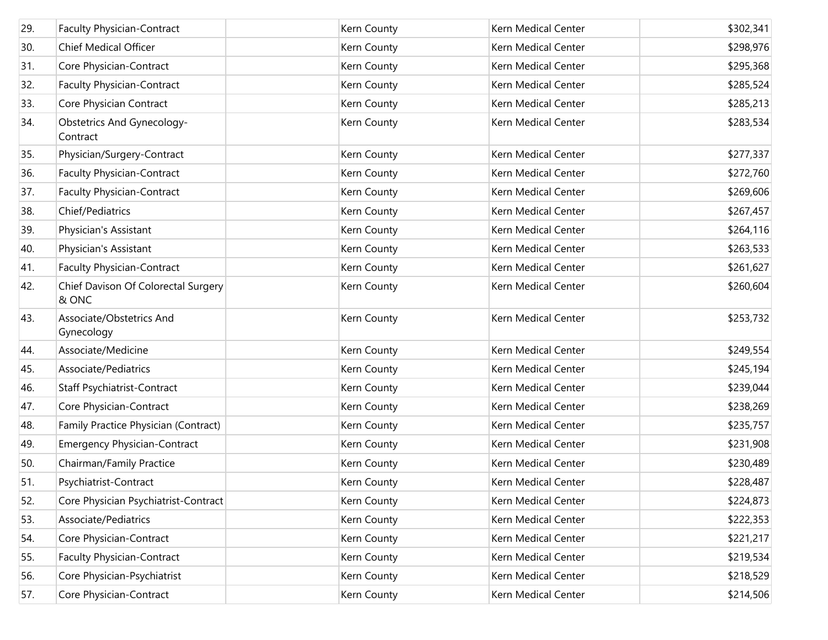| 29. | <b>Faculty Physician-Contract</b>            | Kern County | Kern Medical Center | \$302,341 |
|-----|----------------------------------------------|-------------|---------------------|-----------|
| 30. | <b>Chief Medical Officer</b>                 | Kern County | Kern Medical Center | \$298,976 |
| 31. | Core Physician-Contract                      | Kern County | Kern Medical Center | \$295,368 |
| 32. | <b>Faculty Physician-Contract</b>            | Kern County | Kern Medical Center | \$285,524 |
| 33. | Core Physician Contract                      | Kern County | Kern Medical Center | \$285,213 |
| 34. | Obstetrics And Gynecology-<br>Contract       | Kern County | Kern Medical Center | \$283,534 |
| 35. | Physician/Surgery-Contract                   | Kern County | Kern Medical Center | \$277,337 |
| 36. | <b>Faculty Physician-Contract</b>            | Kern County | Kern Medical Center | \$272,760 |
| 37. | <b>Faculty Physician-Contract</b>            | Kern County | Kern Medical Center | \$269,606 |
| 38. | Chief/Pediatrics                             | Kern County | Kern Medical Center | \$267,457 |
| 39. | Physician's Assistant                        | Kern County | Kern Medical Center | \$264,116 |
| 40. | Physician's Assistant                        | Kern County | Kern Medical Center | \$263,533 |
| 41. | <b>Faculty Physician-Contract</b>            | Kern County | Kern Medical Center | \$261,627 |
| 42. | Chief Davison Of Colorectal Surgery<br>& ONC | Kern County | Kern Medical Center | \$260,604 |
| 43. | Associate/Obstetrics And<br>Gynecology       | Kern County | Kern Medical Center | \$253,732 |
| 44. | Associate/Medicine                           | Kern County | Kern Medical Center | \$249,554 |
| 45. | Associate/Pediatrics                         | Kern County | Kern Medical Center | \$245,194 |
| 46. | Staff Psychiatrist-Contract                  | Kern County | Kern Medical Center | \$239,044 |
| 47. | Core Physician-Contract                      | Kern County | Kern Medical Center | \$238,269 |
| 48. | Family Practice Physician (Contract)         | Kern County | Kern Medical Center | \$235,757 |
| 49. | <b>Emergency Physician-Contract</b>          | Kern County | Kern Medical Center | \$231,908 |
| 50. | Chairman/Family Practice                     | Kern County | Kern Medical Center | \$230,489 |
| 51. | Psychiatrist-Contract                        | Kern County | Kern Medical Center | \$228,487 |
| 52. | Core Physician Psychiatrist-Contract         | Kern County | Kern Medical Center | \$224,873 |
| 53. | Associate/Pediatrics                         | Kern County | Kern Medical Center | \$222,353 |
| 54. | Core Physician-Contract                      | Kern County | Kern Medical Center | \$221,217 |
| 55. | <b>Faculty Physician-Contract</b>            | Kern County | Kern Medical Center | \$219,534 |
| 56. | Core Physician-Psychiatrist                  | Kern County | Kern Medical Center | \$218,529 |
| 57. | Core Physician-Contract                      | Kern County | Kern Medical Center | \$214,506 |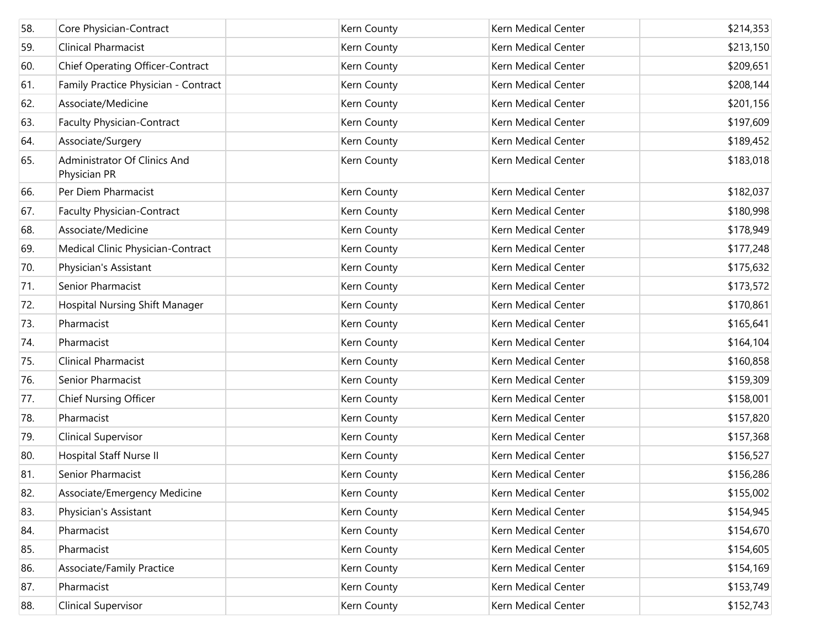| 58. | Core Physician-Contract                      | Kern County | Kern Medical Center | \$214,353 |
|-----|----------------------------------------------|-------------|---------------------|-----------|
| 59. | <b>Clinical Pharmacist</b>                   | Kern County | Kern Medical Center | \$213,150 |
| 60. | <b>Chief Operating Officer-Contract</b>      | Kern County | Kern Medical Center | \$209,651 |
| 61. | Family Practice Physician - Contract         | Kern County | Kern Medical Center | \$208,144 |
| 62. | Associate/Medicine                           | Kern County | Kern Medical Center | \$201,156 |
| 63. | <b>Faculty Physician-Contract</b>            | Kern County | Kern Medical Center | \$197,609 |
| 64. | Associate/Surgery                            | Kern County | Kern Medical Center | \$189,452 |
| 65. | Administrator Of Clinics And<br>Physician PR | Kern County | Kern Medical Center | \$183,018 |
| 66. | Per Diem Pharmacist                          | Kern County | Kern Medical Center | \$182,037 |
| 67. | <b>Faculty Physician-Contract</b>            | Kern County | Kern Medical Center | \$180,998 |
| 68. | Associate/Medicine                           | Kern County | Kern Medical Center | \$178,949 |
| 69. | Medical Clinic Physician-Contract            | Kern County | Kern Medical Center | \$177,248 |
| 70. | Physician's Assistant                        | Kern County | Kern Medical Center | \$175,632 |
| 71. | Senior Pharmacist                            | Kern County | Kern Medical Center | \$173,572 |
| 72. | Hospital Nursing Shift Manager               | Kern County | Kern Medical Center | \$170,861 |
| 73. | Pharmacist                                   | Kern County | Kern Medical Center | \$165,641 |
| 74. | Pharmacist                                   | Kern County | Kern Medical Center | \$164,104 |
| 75. | <b>Clinical Pharmacist</b>                   | Kern County | Kern Medical Center | \$160,858 |
| 76. | Senior Pharmacist                            | Kern County | Kern Medical Center | \$159,309 |
| 77. | <b>Chief Nursing Officer</b>                 | Kern County | Kern Medical Center | \$158,001 |
| 78. | Pharmacist                                   | Kern County | Kern Medical Center | \$157,820 |
| 79. | <b>Clinical Supervisor</b>                   | Kern County | Kern Medical Center | \$157,368 |
| 80. | Hospital Staff Nurse II                      | Kern County | Kern Medical Center | \$156,527 |
| 81. | Senior Pharmacist                            | Kern County | Kern Medical Center | \$156,286 |
| 82. | Associate/Emergency Medicine                 | Kern County | Kern Medical Center | \$155,002 |
| 83. | Physician's Assistant                        | Kern County | Kern Medical Center | \$154,945 |
| 84. | Pharmacist                                   | Kern County | Kern Medical Center | \$154,670 |
| 85. | Pharmacist                                   | Kern County | Kern Medical Center | \$154,605 |
| 86. | Associate/Family Practice                    | Kern County | Kern Medical Center | \$154,169 |
| 87. | Pharmacist                                   | Kern County | Kern Medical Center | \$153,749 |
| 88. | Clinical Supervisor                          | Kern County | Kern Medical Center | \$152,743 |